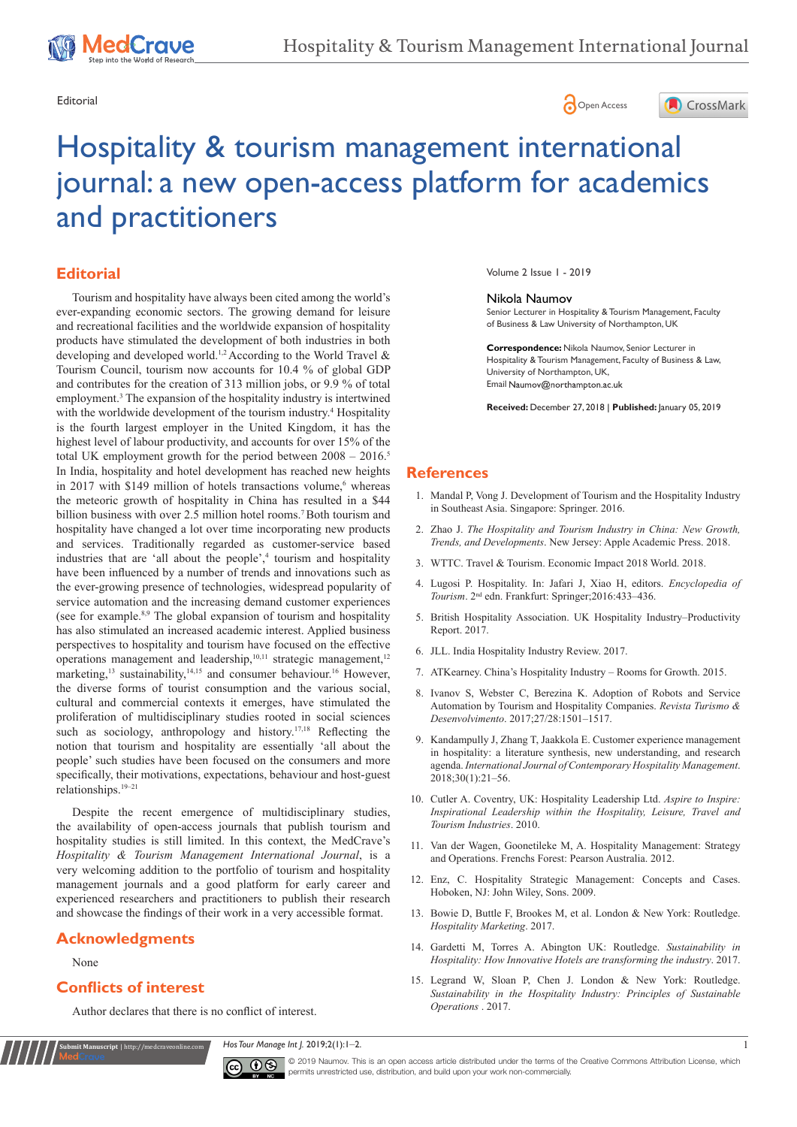





# Hospitality & tourism management international journal: a new open-access platform for academics and practitioners

# **Editorial**

In India, hospitality and hotel development has reached new heights in 2017 with \$149 million of hotels transactions volume,<sup>6</sup> whereas the meteoric growth of hospitality in China has resulted in a \$44 billion business with over 2.5 million hotel rooms.<sup>7</sup> Both tourism and hospitality have changed a lot over time incorporating new products and services. Traditionally regarded as customer-service based industries that are 'all about the people',<sup>4</sup> tourism and hospitality have been influenced by a number of trends and innovations such as the ever-growing presence of technologies, widespread popularity of service automation and the increasing demand customer experiences (see for example.8,9 The global expansion of tourism and hospitality has also stimulated an increased academic interest. Applied business perspectives to hospitality and tourism have focused on the effective operations management and leadership,<sup>10,11</sup> strategic management,<sup>12</sup> marketing,<sup>13</sup> sustainability,<sup>14,15</sup> and consumer behaviour.<sup>16</sup> However, the diverse forms of tourist consumption and the various social, cultural and commercial contexts it emerges, have stimulated the proliferation of multidisciplinary studies rooted in social sciences such as sociology, anthropology and history.<sup>17,18</sup> Reflecting the notion that tourism and hospitality are essentially 'all about the people' such studies have been focused on the consumers and more specifically, their motivations, expectations, behaviour and host-guest relationships.19–21 Tourism and hospitality have always been cited among the world's ever-expanding economic sectors. The growing demand for leisure and recreational facilities and the worldwide expansion of hospitality products have stimulated the development of both industries in both developing and developed world.1,2 According to the World Travel & Tourism Council, tourism now accounts for 10.4 % of global GDP and contributes for the creation of 313 million jobs, or 9.9 % of total employment.<sup>3</sup> The expansion of the hospitality industry is intertwined with the worldwide development of the tourism industry.<sup>4</sup> Hospitality is the fourth largest employer in the United Kingdom, it has the highest level of labour productivity, and accounts for over 15% of the total UK employment growth for the period between  $2008 - 2016$ .<sup>5</sup>

Despite the recent emergence of multidisciplinary studies, the availability of open-access journals that publish tourism and hospitality studies is still limited. In this context, the MedCrave's *Hospitality & Tourism Management International Journal*, is a very welcoming addition to the portfolio of tourism and hospitality management journals and a good platform for early career and experienced researchers and practitioners to publish their research and showcase the findings of their work in a very accessible format.

### **Acknowledgments**

None

## **Conflicts of interest**

**it Manuscript** | http://medcraveonline.c

Author declares that there is no conflict of interest.

Volume 2 Issue 1 - 2019

#### Nikola Naumov

Senior Lecturer in Hospitality & Tourism Management, Faculty of Business & Law University of Northampton, UK

**Correspondence:** Nikola Naumov, Senior Lecturer in Hospitality & Tourism Management, Faculty of Business & Law, University of Northampton, UK, Email Naumov@northampton.ac.uk

**Received:** December 27, 2018 | **Published:** January 05, 2019

#### **References**

- 1. [Mandal P, Vong J. Development of Tourism and the Hospitality Industry](https://www.springer.com/in/book/9789812876058)  [in Southeast Asia. Singapore: Springer. 2016.](https://www.springer.com/in/book/9789812876058)
- 2. Zhao J. *[The Hospitality and Tourism Industry in China: New Growth,](http://www.appleacademicpress.com/the-hospitality-and-tourism-industry-in-china-new-growth-trends-and-developments/9781771886529)  Trends, and Developments*[. New Jersey: Apple Academic Press. 2018.](http://www.appleacademicpress.com/the-hospitality-and-tourism-industry-in-china-new-growth-trends-and-developments/9781771886529)
- 3. [WTTC. Travel & Tourism. Economic Impact 2018 World. 2018.](https://www.wttc.org/-/media/files/reports/economic-impact-research/regions-2018/world2018.pdf)
- 4. [Lugosi P. Hospitality. In: Jafari J, Xiao H, editors.](https://www.scribd.com/document/358081900/VA-Encyclopedia-of-Tourism-2016-pdf) *Encyclopedia of Tourism*[. 2nd edn. Frankfurt: Springer;2016:433–436.](https://www.scribd.com/document/358081900/VA-Encyclopedia-of-Tourism-2016-pdf)
- 5. [British Hospitality Association. UK Hospitality Industry–Productivity](https://www.ukhospitality.org.uk/page/About)  [Report. 2017.](https://www.ukhospitality.org.uk/page/About)
- 6. [JLL. India Hospitality Industry Review. 2017.](https://www.jll.co.in/en/trends-and-insights/research/ready-steady-go-india-hospitality-industry-review-2017)
- 7. [ATKearney. China's Hospitality Industry Rooms for Growth. 2015.](https://www.atkearney.com/documents/10192/982632/Chinas_Hospitality_Industry.pdf/72ed00fb-1cad-4798-a1a1-1552604bc72e)
- 8. [Ivanov S, Webster C, Berezina K. Adoption of Robots and Service](http://www.academia.edu/35726122/Adoption_of_robots_and_service_automation_by_tourism_and_hospitality_companies)  [Automation by Tourism and Hospitality Companies.](http://www.academia.edu/35726122/Adoption_of_robots_and_service_automation_by_tourism_and_hospitality_companies) *Revista Turismo & Desenvolvimento*[. 2017;27/28:1501–1517.](http://www.academia.edu/35726122/Adoption_of_robots_and_service_automation_by_tourism_and_hospitality_companies)
- 9. [Kandampully J, Zhang T, Jaakkola E. Customer experience management](https://www.cabdirect.org/cabdirect/abstract/20183196763)  [in hospitality: a literature synthesis, new understanding, and research](https://www.cabdirect.org/cabdirect/abstract/20183196763)  agenda. *[International Journal of Contemporary Hospitality Management](https://www.cabdirect.org/cabdirect/abstract/20183196763)*. [2018;30\(1\):21–56.](https://www.cabdirect.org/cabdirect/abstract/20183196763)
- 10. [Cutler A. Coventry, UK: Hospitality Leadership Ltd.](https://books.google.co.in/books?id=SfD8AQAAQBAJ&pg=PA2&lpg=PA2&dq=Cutler,+A.+(2010).+Aspire+to+Inspire:+Inspirational+Leadership+within+the+Hospitality,+Leisure,+Travel+and+Tourism+Industries.+Coventry,+UK:+Hospitality+Leadership+Ltd.&source=bl&ots=AYc64j) *Aspire to Inspire: [Inspirational Leadership within the Hospitality, Leisure, Travel and](https://books.google.co.in/books?id=SfD8AQAAQBAJ&pg=PA2&lpg=PA2&dq=Cutler,+A.+(2010).+Aspire+to+Inspire:+Inspirational+Leadership+within+the+Hospitality,+Leisure,+Travel+and+Tourism+Industries.+Coventry,+UK:+Hospitality+Leadership+Ltd.&source=bl&ots=AYc64j)  [Tourism Industries](https://books.google.co.in/books?id=SfD8AQAAQBAJ&pg=PA2&lpg=PA2&dq=Cutler,+A.+(2010).+Aspire+to+Inspire:+Inspirational+Leadership+within+the+Hospitality,+Leisure,+Travel+and+Tourism+Industries.+Coventry,+UK:+Hospitality+Leadership+Ltd.&source=bl&ots=AYc64j)*. 2010.
- 11. [Van der Wagen, Goonetileke M, A. Hospitality Management: Strategy](https://trove.nla.gov.au/work/17035553?q&versionId=51616326)  [and Operations. Frenchs Forest: Pearson Australia. 2012.](https://trove.nla.gov.au/work/17035553?q&versionId=51616326)
- 12. [Enz, C. Hospitality Strategic Management: Concepts and Cases.](http://www.academia.edu/35604993/Hospitality_Strategic_Management_-_concepts_and_cases_Cathy_A._Enz_)  [Hoboken, NJ: John Wiley, Sons. 2009.](http://www.academia.edu/35604993/Hospitality_Strategic_Management_-_concepts_and_cases_Cathy_A._Enz_)
- 13. Bowie D, Buttle F, Brookes M, et al. London & New York: Routledge. *Hospitality Marketing*. 2017.
- 14. Gardetti M, Torres A. Abington UK: Routledge. *Sustainability in Hospitality: How Innovative Hotels are transforming the industry*. 2017.
- 15. Legrand W, Sloan P, Chen J. London & New York: Routledge. *Sustainability in the Hospitality Industry: Principles of Sustainable Operations* . 2017.

*Hos Tour Manage Int J.* 2019;2(1):1‒2. 1



© 2019 Naumov. This is an open access article distributed under the terms of the [Creative Commons Attribution License](https://creativecommons.org/licenses/by-nc/4.0/), which permits unrestricted use, distribution, and build upon your work non-commercially.